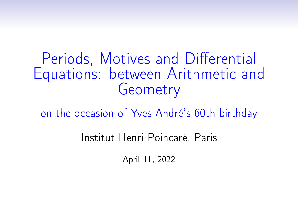Periods, Motives and Differential Equations: between Arithmetic and **Geometry** 

on the occasion of Yves André's 60th birthday

Institut Henri Poincaré, Paris

April 11, 2022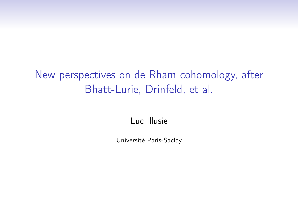# New perspectives on de Rham cohomology, after Bhatt-Lurie, Drinfeld, et al.

Luc Illusie

Université Paris-Saclay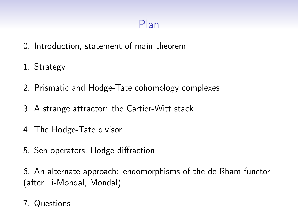# Plan

- 0. Introduction, statement of main theorem
- 1. Strategy
- 2. Prismatic and Hodge-Tate cohomology complexes
- 3. A strange attractor: the Cartier-Witt stack
- 4. The Hodge-Tate divisor
- 5. Sen operators, Hodge diffraction

6. An alternate approach: endomorphisms of the de Rham functor (after Li-Mondal, Mondal)

7. Questions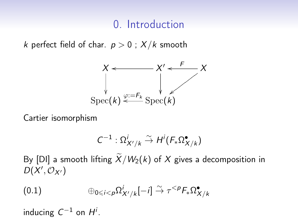## 0. Introduction

k perfect field of char.  $p > 0$ ;  $X/k$  smooth



Cartier isomorphism

$$
C^{-1}:\Omega^i_{X'/k}\stackrel{\sim}{\to} H^i(F_*\Omega^{\bullet}_{X/k})
$$

By [DI] a smooth lifting  $\widetilde{X}/W_2(k)$  of X gives a decomposition in  $D(X', \mathcal{O}_{X'})$ 

$$
(0.1) \qquad \qquad \oplus_{0 \leq i < p} \Omega^i_{X'/k}[-i] \stackrel{\sim}{\to} \tau^{< p} \mathcal{F}_* \Omega^{\bullet}_{X/k}
$$

inducing  $C^{-1}$  on  $H^i$ .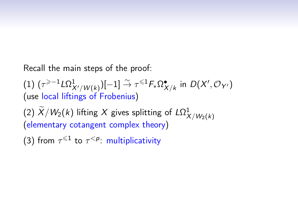Recall the main steps of the proof:

(1)  $(\tau^{\geqslant-1}L\Omega^1_{X'/W(k)})[-1] \stackrel{\sim}{\to} \tau^{\leqslant 1}F_*\Omega^{\bullet}_{X/k}$  in  $D(X',\mathcal{O}_{Y'})$ (use local liftings of Frobenius)

(2)  $X/W_2(k)$  lifting X gives splitting of  $L\Omega^1_{X/W_2(k)}$ (elementary cotangent complex theory)

(3) from  $\tau^{\leq 1}$  to  $\tau^{\leq p}$ : multiplicativity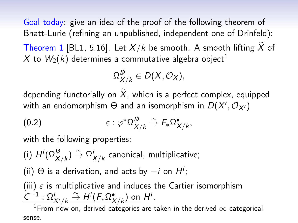Goal today: give an idea of the proof of the following theorem of Bhatt-Lurie (refining an unpublished, independent one of Drinfeld): Theorem 1 [BL1, 5.16]. Let  $X/k$  be smooth. A smooth lifting  $\widetilde{X}$  of X to  $W_2(k)$  determines a commutative algebra object<sup>1</sup>

$$
\Omega_{X/k}^{\not\!D} \in D(X,\mathcal{O}_X),
$$

depending functorially on  $\widetilde{X}$ , which is a perfect complex, equipped with an endomorphism  $\Theta$  and an isomorphism in  $D(X',\mathcal{O}_{X'})$ 

$$
(0.2) \qquad \qquad \varepsilon : \varphi^* \Omega^{\not\!D}_{X/k} \overset{\sim}{\to} F_* \Omega^{\bullet}_{X/k},
$$

with the following properties:

(i)  $H^i(\Omega_{X/k}^{\not\!\!D}) \stackrel{\sim}{\to} \Omega_{X/k}^i$  canonical, multiplicative;

(ii)  $\Theta$  is a derivation, and acts by  $-i$  on  $H^i$ ;

(iii)  $\varepsilon$  is multiplicative and induces the Cartier isomorphism  $C^{-1}$  :  $\Omega^i_{X'/k} \overset{\sim}{\to} H^i(F_*\Omega^{\bullet}_{X/k})$  on  $H^i$ .

<sup>1</sup>From now on, derived categories are taken in the derived  $\infty$ -categorical sense.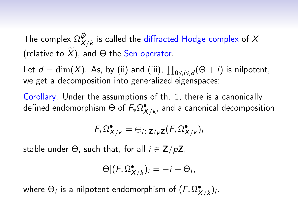The complex  $\Omega_X^{\not\!\!D}$  $_{X/k}^{\rm \nu}$  is called the diffracted Hodge complex of  $X$ (relative to  $\widetilde{X}$ ), and  $\Theta$  the Sen operator.

Let  $d = \dim(X)$ . As, by (ii) and (iii),  $\prod_{0 \leq i \leq d} (\Theta + i)$  is nilpotent, we get a decomposition into generalized eigenspaces:

Corollary. Under the assumptions of th. 1, there is a canonically defined endomorphism  $\Theta$  of  $\mathit{F}_*\Omega^\bullet_{X/k}$ , and a canonical decomposition

$$
F_*\Omega_{X/k}^{\bullet}=\oplus_{i\in \mathbf{Z}/p\mathbf{Z}}(F_*\Omega_{X/k}^{\bullet})_i
$$

stable under  $\Theta$ , such that, for all  $i \in \mathbb{Z}/p\mathbb{Z}$ ,

$$
\Theta | (F_* \Omega_{X/k}^{\bullet})_i = -i + \Theta_i,
$$

where  $\Theta_i$  is a nilpotent endomorphism of  $(\mathsf{F}_*\Omega^\bullet_{X/k})_i.$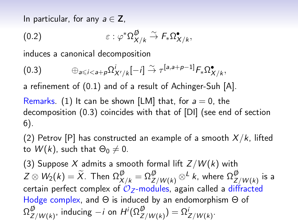In particular, for any  $a \in \mathbb{Z}$ ,

$$
(0.2) \qquad \qquad \varepsilon : \varphi^* \Omega_{X/k}^{\not\!D} \stackrel{\sim}{\to} F_* \Omega_{X/k}^{\bullet},
$$

induces a canonical decomposition

$$
(0.3) \qquad \oplus_{a\leq i
$$

a refinement of (0.1) and of a result of Achinger-Suh [A].

Remarks. (1) It can be shown [LM] that, for  $a = 0$ , the decomposition (0.3) coincides with that of [DI] (see end of section 6).

(2) Petrov [P] has constructed an example of a smooth  $X/k$ , lifted to  $W(k)$ , such that  $\Theta_0 \neq 0$ .

(3) Suppose X admits a smooth formal lift  $Z/W(k)$  with  $Z\otimes W_2(k)=\widetilde X.$  Then  $\Omega_{X/k}^{\not\!{D}}=\Omega_{Z/W(k)}^{\not\!{D}}\otimes^L k,$  where  $\Omega_{Z}^{\not\!{D}}$  $^{\varphi}_{Z/W(k)}$  is a certain perfect complex of  $O<sub>Z</sub>$ -modules, again called a diffracted Hodge complex, and Θ is induced by an endomorphism Θ of  $\Omega^{\not\neg\!\!\!D}_Z$  $Z^{\not{|}}_{Z/W(k)},$  inducing  $-i$  on  $H^i(\Omega^{\not{|}}_{Z/W(k)})=\Omega^i_{Z/W(k)}.$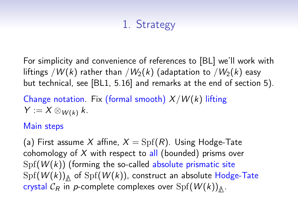# 1. Strategy

For simplicity and convenience of references to [BL] we'll work with liftings /W(k) rather than /W<sub>2</sub>(k) (adaptation to /W<sub>2</sub>(k) easy but technical, see [BL1, 5.16] and remarks at the end of section 5).

Change notation. Fix (formal smooth)  $X/W(k)$  lifting  $Y := X \otimes_{W(k)} k$ .

#### Main steps

(a) First assume X affine,  $X = Spf(R)$ . Using Hodge-Tate cohomology of  $X$  with respect to all (bounded) prisms over  $Spf(W(k))$  (forming the so-called absolute prismatic site  $\mathrm{Spf}(\mathcal{W}(k))_{\mathbb{A}}$  of  $\mathrm{Spf}(\mathcal{W}(k))$ , construct an absolute Hodge-Tate  $\mathsf{crystal}\ \mathcal{C}_\mathcal{R}$  in  $\mathsf{p\text{-}complete}\ \text{complexes over}\ \mathrm{Spf}(\mathcal{W}(k))_{\bigtriangleup}.$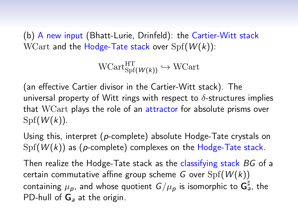(b) A new input (Bhatt-Lurie, Drinfeld): the Cartier-Witt stack WCart and the Hodge-Tate stack over  $Spf(W(k))$ :

$$
\text{WCart}_{\text{Spf}(\textit{W(k)})}^{\text{HT}} \hookrightarrow \text{WCart}
$$

(an effective Cartier divisor in the Cartier-Witt stack). The universal property of Witt rings with respect to  $\delta$ -structures implies that WCart plays the role of an attractor for absolute prisms over  $Spf(W(k))$ .

Using this, interpret (p-complete) absolute Hodge-Tate crystals on  $Spf(W(k))$  as (p-complete) complexes on the Hodge-Tate stack.

Then realize the Hodge-Tate stack as the classifying stack BG of a certain commutative affine group scheme G over  $Spf(W(k))$ containing  $\mu_{\bm p}$ , and whose quotient  $\bm G/\mu_{\bm p}$  is isomorphic to  $\bm {\mathsf G}_{\bm a}^\sharp$ , the PD-hull of  $G_a$  at the origin.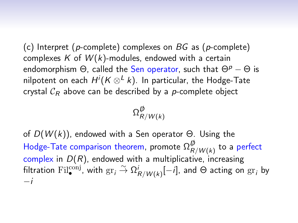(c) Interpret (p-complete) complexes on  $BG$  as (p-complete) complexes K of  $W(k)$ -modules, endowed with a certain endomorphism  $\Theta$ , called the Sen operator, such that  $\Theta^p - \Theta$  is nilpotent on each  $H^i(K\otimes^L k).$  In particular, the Hodge-Tate crystal  $C_R$  above can be described by a p-complete object

$$
\Omega_{R/W(k)}^{\not\!D}
$$

of  $D(W(k))$ , endowed with a Sen operator  $\Theta$ . Using the Hodge-Tate comparison theorem, promote  $\Omega^{\not\!\!D}_R$  $_{R/W(k)}^{\psi}$  to a perfect complex in  $D(R)$ , endowed with a multiplicative, increasing filtration  ${\rm Fil}^{\rm conj}_\bullet$  with  ${\rm gr}_i\stackrel{\sim}{\to}\Omega^i_{R/W(k)}[-i],$  and  $\Theta$  acting on  ${\rm gr}_i$  by −i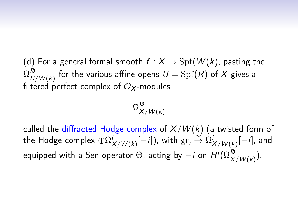(d) For a general formal smooth  $f : X \to \mathrm{Spf}(W(k))$ , pasting the  $\Omega^{\not\!D}_{_R}$  $_{R/\overline{W}(k)}^{\overline{\nu}}$  for the various affine opens  $U=\mathrm{Spf}(R)$  of  $X$  gives a filtered perfect complex of  $\mathcal{O}_X$ -modules

$$
\Omega_{X/W(k)}^{\not\!D}
$$

called the diffracted Hodge complex of  $X/W(k)$  (a twisted form of the Hodge complex  $\oplus \Omega^{i}_{X/W(k)}[-i]),$  with  $\mathrm{gr}_i \overset{\sim}{\to} \Omega^{i}_{X/W(k)}[-i],$  and equipped with a Sen operator Θ, acting by  $-i$  on  $H^i(\Omega_{X/W(k)}^{\not\!\!D}).$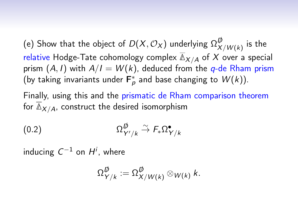(e) Show that the object of  $D(X, \mathcal{O}_X)$  underlying  $\Omega_X^{\not\!\!D}$  $^{\omega}_{X/W(k)}$  is the relative Hodge-Tate cohomology complex  $\overline{\mathbb{A}}_{X/A}$  of X over a special prism  $(A, I)$  with  $A/I = W(k)$ , deduced from the q-de Rham prism (by taking invariants under  $\mathsf{F}_p^*$  and base changing to  $W(k)$ ).

Finally, using this and the prismatic de Rham comparison theorem for  $\overline{\mathbb{A}}_{X/A}$ , construct the desired isomorphism

$$
(0.2) \t\t \t\t \Omega^{\not{D}}_{Y'/k} \xrightarrow{\sim} F_* \Omega^{\bullet}_{Y/k}
$$

inducing  $C^{-1}$  on  $H^i$ , where

$$
\Omega_{Y/k}^{\not\!D}:=\Omega_{X/W(k)}^{\not\!D}\otimes_{W(k)}k.
$$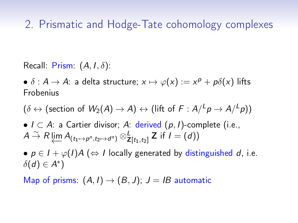## 2. Prismatic and Hodge-Tate cohomology complexes

Recall: Prism:  $(A, I, \delta)$ :

 $\bullet~\delta: A \rightarrow A:$  a delta structure;  $x \mapsto \varphi(x) := x^p + p \delta(x)$  lifts Frobenius

 $(\delta \leftrightarrow$  (section of  $W_2(A) \to A) \leftrightarrow$  (lift of  $F : A / {}^L \rho \to A / {}^L \rho))$ 

•  $I \subset A$ : a Cartier divisor; A: derived  $(p, I)$ -complete (i.e.,  $A \stackrel{\sim}{\to} R \varprojlim A_{(t_1 \mapsto \rho^n, t_2 \mapsto d^n)} \otimes_{\mathsf{Z}[t_1, t_2]}^{\mathsf{L}} \mathsf{Z}$  if  $I = (d))$ 

•  $p \in I + \varphi(I)A \; (\Leftrightarrow I$  locally generated by distinguished d, i.e.  $\delta(d) \in A^*$ )

Map of prisms:  $(A, I) \rightarrow (B, J)$ ;  $J = IB$  automatic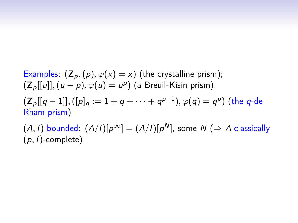Examples:  $(\mathsf{Z}_p,(p),\varphi(x)=x)$  (the crystalline prism);  $(\mathsf{Z}_p[[u]], (u-p), \varphi(u) = u^p)$  (a Breuil-Kisin prism);  $(\mathsf{Z}_\rho[[q-1]],([p]_q:=1+q+\cdots+q^{p-1}),\varphi(q)=q^p)$  (the  $q\text{-}\mathsf{de}$ Rham prism)  $(A, I)$  bounded:  $(A/I)[p^{\infty}] = (A/I)[p^N]$ , some  $N \implies A$  classically

 $(p, I)$ -complete)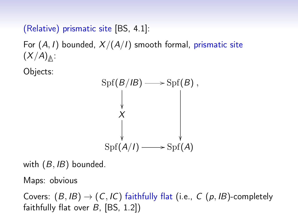(Relative) prismatic site [BS, 4.1]:

For  $(A, I)$  bounded,  $X/(A/I)$  smooth formal, prismatic site (X/A)**∆** :

Objects:



with  $(B, IB)$  bounded.

Maps: obvious

Covers:  $(B, IB) \rightarrow (C, IC)$  faithfully flat (i.e., C (p, IB)-completely faithfully flat over  $B$ , [BS, 1.2])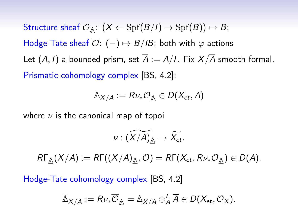$\operatorname{\sf Structure}$  sheaf  $\mathcal{O}_{\mathbb{A}}\colon (X\leftarrow \operatorname{Spf}(B/I)\rightarrow \operatorname{Spf}(B))\mapsto B;$ Hodge-Tate sheaf  $\overline{\mathcal{O}}$ :  $(-) \mapsto B/B$ ; both with  $\varphi$ -actions Let  $(A, I)$  a bounded prism, set  $\overline{A} := A/I$ . Fix  $X/\overline{A}$  smooth formal. Prismatic cohomology complex [BS, 4.2]:

$$
\mathbb{A}_{X/A}:=R\nu_*\mathcal{O}_{\mathbb{A}}\in D(X_{et},A)
$$

where  $\nu$  is the canonical map of topoi

$$
\nu: (\widetilde{X/A})_{\triangle} \to \widetilde{X_{et}}.
$$

 $R\Gamma_{\Delta}(X/A) := R\Gamma((X/A)_{\Delta}, \mathcal{O}) = R\Gamma(X_{et}, R\nu_*\mathcal{O}_{\Delta}) \in D(A).$ 

Hodge-Tate cohomology complex [BS, 4.2]

$$
\overline{\mathbb{A}}_{X/A} := R \nu_* \overline{\mathcal{O}}_{\underline{\mathbb{A}}} = \mathbb{A}_{X/A} \otimes^L_A \overline{A} \in D(X_{et}, \mathcal{O}_X).
$$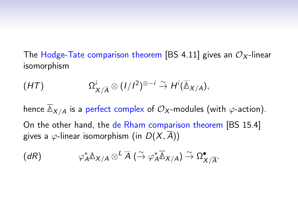The Hodge-Tate comparison theorem [BS 4.11] gives an  $\mathcal{O}_X$ -linear isomorphism

$$
(HT) \t\Omega^i_{X/\overline{A}} \otimes (1/I^2)^{\otimes -i} \stackrel{\sim}{\to} H^i(\overline{\Delta}_{X/A}),
$$

hence  $\overline{\mathbb{A}}_{X/A}$  is a perfect complex of  $\mathcal{O}_X$ -modules (with  $\varphi$ -action). On the other hand, the de Rham comparison theorem [BS 15.4] gives a  $\varphi$ -linear isomorphism (in  $D(X, \overline{A})$ )

$$
(dR) \qquad \qquad \varphi_A^* \mathbb{A}_{X/A} \otimes^L \overline{A} \; (\stackrel{\sim}{\to} \varphi_A^* \overline{\mathbb{A}}_{X/A}) \stackrel{\sim}{\to} \Omega^{\bullet}_{X/\overline{A}}.
$$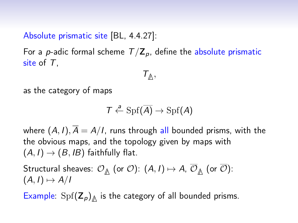### Absolute prismatic site [BL, 4.4.27]:

For a p-adic formal scheme  $T/\mathbb{Z}_p$ , define the absolute prismatic site of  $T$ .

$$
\mathcal{T}_{\mathbb{A}},
$$

as the category of maps

$$
\mathcal{T} \xleftarrow{a} \mathrm{Spf}(\overline{A}) \to \mathrm{Spf}(A)
$$

where  $(A, I), \overline{A} = A/I$ , runs through all bounded prisms, with the the obvious maps, and the topology given by maps with  $(A, I) \rightarrow (B, IB)$  faithfully flat.

Structural sheaves:  $\mathcal{O}_{\mathbb{A}}$  (or  $\mathcal{O}$ ):  $(A, I) \mapsto A$ ,  $\mathcal{O}_{\mathbb{A}}$  (or  $\mathcal{O}$ ):  $(A, I) \mapsto A/I$ 

Example:  $\text{Spf}(\mathsf{Z}_p)_{\triangle}$  is the category of all bounded prisms.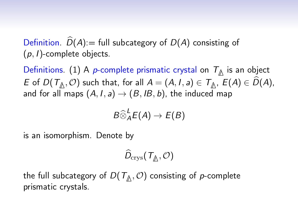Definition.  $\widehat{D}(A)$ : = full subcategory of  $D(A)$  consisting of  $(p, l)$ -complete objects.

Definitions. (1) A p-complete prismatic crystal on T**∆** is an object E of  $D(T_{\mathbb{A}}, \mathcal{O})$  such that, for all  $A = (A, I, a) \in T_{\mathbb{A}}, E(A) \in D(A)$ , and for all maps  $(A, I, a) \rightarrow (B, IB, b)$ , the induced map

$$
B\widehat{\otimes}^L_A E(A)\to E(B)
$$

is an isomorphism. Denote by

$$
\widehat{D}_{\operatorname{crys}}({\mathcal T}_{\underline{\mathbb A}},{\mathcal O})
$$

the full subcategory of  $D(T_\triangle, \mathcal{O})$  consisting of  $p$ -complete prismatic crystals.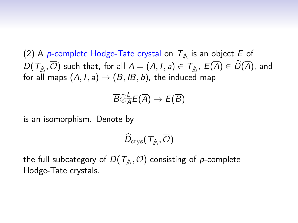(2) A p-complete Hodge-Tate crystal on T**∆** is an object E of  $D(\mathcal{T}_{\underline{\mathbb{A}}}, \mathcal{O})$  such that, for all  $A = (A, I, a) \in \mathcal{T}_{\underline{\mathbb{A}}}, \ E(A) \in D(A)$ , and for all maps  $(A, I, a) \rightarrow (B, IB, b)$ , the induced map

$$
\overline{B}\widehat{\otimes}^{\underline{L}}_{\overline{A}}E(\overline{A})\to E(\overline{B})
$$

is an isomorphism. Denote by

$$
\widehat{D}_{\operatorname{crys}}({\cal T}_{\not\triangle},\overline{{\cal O}})
$$

the full subcategory of  $D(T_\mathbb{A}, \mathcal{O})$  consisting of  $p$ -complete Hodge-Tate crystals.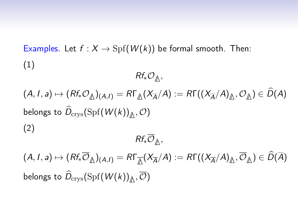Examples. Let  $f : X \to \mathrm{Spf}(W(k))$  be formal smooth. Then: (1)

Rf∗O**∆** ,

 $(A, I, a) \mapsto (Rf_*\mathcal{O}_{\mathbb{A}})_{(A,I)} = R\Gamma_{\mathbb{A}}(X_{\overline{A}}/A) := R\Gamma((X_{\overline{A}}/A)_{\mathbb{A}}, \mathcal{O}_{\mathbb{A}}) \in D(A)$ belongs to  $D_{\textrm{crys}}(\textrm{Spf}(W(k))_{\bigtriangleup}, \mathcal{O})$ (2)

Rf∗O**∆** ,

 $(A, I, a) \mapsto (Rf_*\mathcal{O}_{\mathbb{A}})_{(A,I)} = R\Gamma_{\overline{\mathbb{A}}}(X_{\overline{A}}/A) := R\Gamma((X_{\overline{A}}/A)_{\mathbb{A}}, \mathcal{O}_{\mathbb{A}}) \in D(A)$ belongs to  $D_{\textrm{crys}}(\textrm{Spf}(W(k))_{\bigtriangleup}, \mathcal{O})$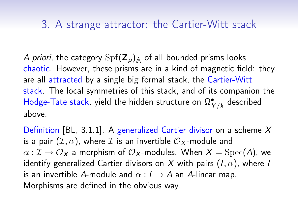## 3. A strange attractor: the Cartier-Witt stack

A priori, the category  $\mathrm{Spf}(\mathsf{Z}_p)_{\triangle}$  of all bounded prisms looks chaotic. However, these prisms are in a kind of magnetic field: they are all attracted by a single big formal stack, the Cartier-Witt stack. The local symmetries of this stack, and of its companion the Hodge-Tate stack, yield the hidden structure on  $\Omega^{\bullet}_{Y/k}$  described above.

Definition [BL, 3.1.1]. A generalized Cartier divisor on a scheme  $X$ is a pair  $(\mathcal{I}, \alpha)$ , where  $\mathcal I$  is an invertible  $\mathcal{O}_X$ -module and  $\alpha : \mathcal{I} \to \mathcal{O}_X$  a morphism of  $\mathcal{O}_X$ -modules. When  $X = \text{Spec}(A)$ , we identify generalized Cartier divisors on X with pairs  $(I, \alpha)$ , where I is an invertible A-module and  $\alpha : I \rightarrow A$  an A-linear map. Morphisms are defined in the obvious way.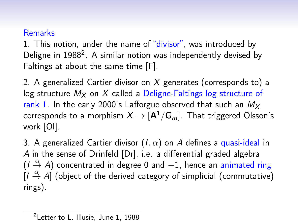#### Remarks

1. This notion, under the name of "divisor", was introduced by Deligne in 1988<sup>2</sup>. A similar notion was independently devised by Faltings at about the same time [F].

2. A generalized Cartier divisor on X generates (corresponds to) a log structure  $M_X$  on X called a Deligne-Faltings log structure of rank 1. In the early 2000's Lafforgue observed that such an  $M_X$ corresponds to a morphism  $X \to [A^1/G_m]$ . That triggered Olsson's work [Ol].

3. A generalized Cartier divisor  $(I, \alpha)$  on A defines a quasi-ideal in A in the sense of Drinfeld [Dr], i.e. a differential graded algebra  $(I \stackrel{\alpha}{\rightarrow} A)$  concentrated in degree 0 and -1, hence an animated ring  $(I \stackrel{\alpha}{\rightarrow} A]$  (object of the derived category of simplicial (commutative) rings).

<sup>&</sup>lt;sup>2</sup>Letter to L. Illusie, June 1, 1988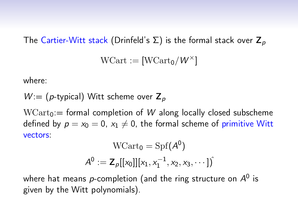#### The Cartier-Witt stack (Drinfeld's  $\Sigma$ ) is the formal stack over  $\mathbb{Z}_p$

$$
\mathrm{WCart} := [\mathrm{WCart}_0/W^\times]
$$

where:

$$
W = (p\text{-typical})
$$
 Witt scheme over  $\mathbb{Z}_p$ 

 $WCart_0$ : = formal completion of W along locally closed subscheme defined by  $p = x_0 = 0$ ,  $x_1 \neq 0$ , the formal scheme of primitive Witt vectors:  $\sim$  0.00  $\sim$  0.00

$$
WCart_0 = Spf(A^0)
$$
  

$$
A^0 := \mathbf{Z}_p[[x_0]][x_1, x_1^{-1}, x_2, x_3, \cdots])
$$

where hat means  $p$ -completion (and the ring structure on  $A^0$  is given by the Witt polynomials).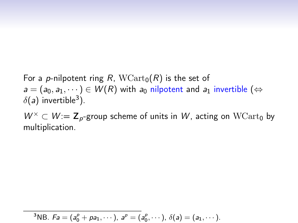## For a p-nilpotent ring R,  $WCart_0(R)$  is the set of  $a = (a_0, a_1, \dots) \in W(R)$  with  $a_0$  nilpotent and  $a_1$  invertible ( $\Leftrightarrow$  $\delta(a)$  invertible<sup>3</sup>).

 $W^{\times} \subset W = \mathbb{Z}_{p}$ -group scheme of units in W, acting on  $WCart_0$  by multiplication.

<sup>3</sup>NB. 
$$
Fa = (a_0^p + pa_1, \dots), a^p = (a_0^p, \dots), \delta(a) = (a_1, \dots).
$$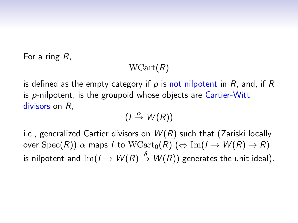For a ring R,

### $WCart(R)$

is defined as the empty category if p is not nilpotent in  $R$ , and, if  $R$ is p-nilpotent, is the groupoid whose objects are Cartier-Witt divisors on  $R$ .

 $(I \stackrel{\alpha}{\rightarrow} W(R))$ 

i.e., generalized Cartier divisors on  $W(R)$  such that (Zariski locally over  $Spec(R))$   $\alpha$  maps I to  $WCart_0(R)$  ( $\Leftrightarrow$  Im( $I \rightarrow W(R) \rightarrow R$ ) is nilpotent and Im $(I \to W(R) \stackrel{\delta}{\to} W(R))$  generates the unit ideal).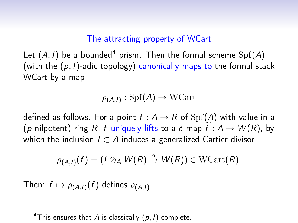#### The attracting property of WCart

Let  $(A, I)$  be a bounded<sup>4</sup> prism. Then the formal scheme  $Spf(A)$ (with the  $(p, l)$ -adic topology) canonically maps to the formal stack WCart by a map

$$
\rho_{(A,I)}:\mathrm{Spf}(A)\to \mathrm{WCart}
$$

defined as follows. For a point  $f : A \rightarrow R$  of  $Spf(A)$  with value in a (p-nilpotent) ring R, f uniquely lifts to a  $\delta$ -map  $f: A \rightarrow W(R)$ , by which the inclusion  $I \subset A$  induces a generalized Cartier divisor

$$
\rho_{(A,I)}(f)=(I\otimes_A W(R)\stackrel{\alpha}{\to} W(R))\in \mathrm{WCart}(R).
$$

Then:  $f \mapsto \rho_{(A,I)}(f)$  defines  $\rho_{(A,I)}.$ 

<sup>&</sup>lt;sup>4</sup>This ensures that A is classically  $(p, I)$ -complete.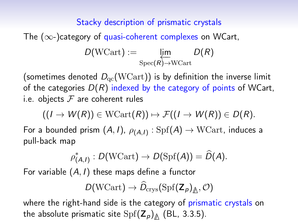### Stacky description of prismatic crystals

The  $(\infty)$ -category of quasi-coherent complexes on WCart,

$$
D(\text{WCart}) := \varprojlim_{\text{Spec}(R) \to \text{WCart}} D(R)
$$

(sometimes denoted  $D_{\text{qc}}(\text{WCart})$ ) is by definition the inverse limit of the categories  $D(R)$  indexed by the category of points of WCart, i.e. objects  $F$  are coherent rules

$$
((I \to W(R)) \in \mathrm{WCart}(R)) \mapsto \mathcal{F}((I \to W(R)) \in D(R).
$$

For a bounded prism  $(A,I)$ ,  $\rho_{(\pmb{A},I)}:\mathrm{Spf}(\pmb{A})\to\mathrm{WCart},$  induces a pull-back map

$$
\rho^*_{(A,I)}: D(\mathrm{WCart}) \to D(\mathrm{Spf}(A)) = \widehat{D}(A).
$$

For variable  $(A, I)$  these maps define a functor

$$
D(\mathrm{WCart}) \to \widehat{D}_\mathrm{crys}(\mathrm{Spf}(\mathbf{Z}_p)_{\underline{\mathbb{A}}},\mathcal{O})
$$

where the right-hand side is the category of prismatic crystals on the absolute prismatic site  $\mathrm{Spf}(\mathsf{Z}_\rho)_{\not\!\Delta}$  (BL, 3.3.5).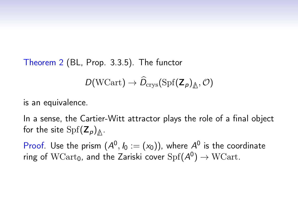Theorem 2 (BL, Prop. 3.3.5). The functor

$$
D(\mathrm{WCart}) \to \widehat{D}_\mathrm{crys}(\mathrm{Spf}(\mathbf{Z}_p)_{\underline{\mathbb{A}}},\mathcal{O})
$$

is an equivalence.

In a sense, the Cartier-Witt attractor plays the role of a final object for the site  $\mathrm{Spf}(\mathsf{Z}_p)_{\not\!\Delta}$ .

Proof. Use the prism  $(A^0, I_0 := (x_0))$ , where  $A^0$  is the coordinate ring of  $\text{WCart}_0$ , and the Zariski cover  $\text{Spf}(\mathcal{A}^0)\rightarrow\text{WCart}.$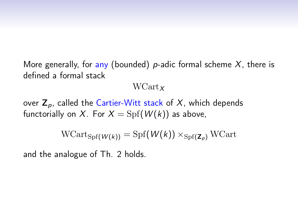More generally, for any (bounded) p-adic formal scheme  $X$ , there is defined a formal stack

#### $WCart_x$

over  $Z_p$ , called the Cartier-Witt stack of X, which depends functorially on X. For  $X = Spf(W(k))$  as above,

$$
\text{WCart}_{\text{Spf}(\mathcal{W}(k))} = \text{Spf}(\mathcal{W}(k)) \times_{\text{Spf}(\mathbf{Z}_p)} \text{WCart}
$$

and the analogue of Th. 2 holds.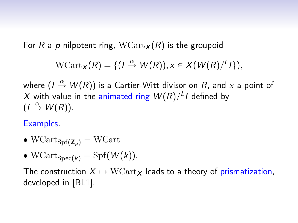For R a p-nilpotent ring,  $WCart_x(R)$  is the groupoid

$$
\mathrm{WCart}_X(R)=\{(I \stackrel{\alpha}{\to} W(R)), x \in X(W(R)/L)\},\
$$

where  $(I\stackrel{\alpha}{\to}W(R))$  is a Cartier-Witt divisor on  $R$ , and  $x$  a point of  $X$  with value in the animated ring  $W(R)/{}^L I$  defined by  $(I \stackrel{\alpha}{\rightarrow} W(R)).$ 

Examples.

•  $WCart_{Spf(Z_n)} = WCart$ 

• WCart ${}_{\text{Spec}(k)} = \text{Spf}(W(k)).$ 

The construction  $X \mapsto \text{WCart}_X$  leads to a theory of prismatization, developed in [BL1].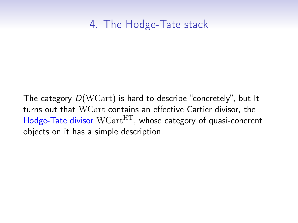## 4. The Hodge-Tate stack

The category D(WCart) is hard to describe "concretely", but It turns out that WCart contains an effective Cartier divisor, the Hodge-Tate divisor  $WCart^{HT}$ , whose category of quasi-coherent objects on it has a simple description.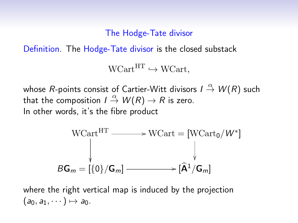The Hodge-Tate divisor

Definition. The Hodge-Tate divisor is the closed substack

 $WCart<sup>HT</sup> \hookrightarrow WCart$ .

whose  $R$ -points consist of Cartier-Witt divisors /  ${\mathrel{{\triangleleft}\over{\to}}}$   $W(R)$  such that the composition  $I\stackrel{\alpha}{\to} W(R)\to R$  is zero. In other words, it's the fibre product



where the right vertical map is induced by the projection  $(a_0, a_1, \dots) \mapsto a_0$ .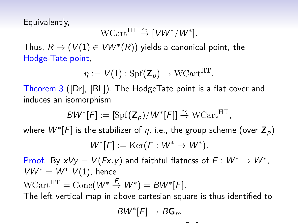Equivalently,

$$
\mathrm{WCart}^{\mathrm{HT}} \xrightarrow{\sim} [\mathit{VW}^*/\mathit{W}^*].
$$

Thus,  $R \mapsto (V(1) \in VW^*(R))$  yields a canonical point, the Hodge-Tate point,

$$
\eta := V(1) : \mathrm{Spf}(\mathbf{Z}_p) \to \mathrm{WCart}^{\mathrm{HT}}.
$$

Theorem 3 ([Dr], [BL]). The HodgeTate point is a flat cover and induces an isomorphism

$$
BW^*[F] := [\mathrm{Spf}(\mathbf{Z}_p)/W^*[F]] \overset{\sim}{\to} \mathrm{WCart}^{\mathrm{HT}},
$$

where  $W^{*}[F]$  is the stabilizer of  $\eta$ , i.e., the group scheme (over  $\mathsf{Z}_{\boldsymbol{\rho}})$ 

$$
W^*[F]:=\mathrm{Ker}(F:W^*\to W^*).
$$

Proof. By  $xVy = V(Fx.y)$  and faithful flatness of  $F: W^* \to W^*$ ,  $V W^* = W^*. V(1)$ , hence  $\text{WCart}^{\text{HT}} = \text{Cone}(W^* \overset{F}{\rightarrow} W^*) = BW^*[F].$ 

The left vertical map in above cartesian square is thus identified to

$$
BW^*[F] \to B\mathbf{G}_m
$$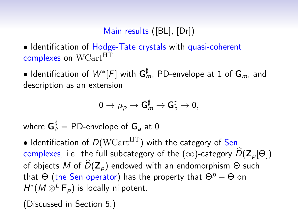## Main results ([BL], [Dr])

• Identification of Hodge-Tate crystals with quasi-coherent complexes on WCart<sup>HT</sup>

 $\bullet$  Identification of  $W^{*}[F]$  with  ${\sf G}_{m}^{\sharp}$ , PD-envelope at 1 of  ${\sf G}_{m}$ , and description as an extension

$$
0\to \mu_{\text{p}}\to \mathbf{G}_m^{\sharp}\to \mathbf{G}_a^{\sharp}\to 0,
$$

where  $\mathsf{G}_a^\sharp = \mathsf{PD}\text{-}\mathsf{envelope}$  of  $\mathsf{G}_a$  at  $0$ 

• Identification of  $D(WCart<sup>HT</sup>)$  with the category of Sen complexes, i.e. the full subcategory of the  $(\infty)$ -category  $\widehat{D}(\mathbf{Z}_n[\Theta])$ of objects M of  $\widehat{D}(\mathbf{Z}_p)$  endowed with an endomorphism  $\Theta$  such that  $\Theta$  (the Sen operator) has the property that  $\Theta^p - \Theta$  on  $H^*(M \otimes^L \mathsf{F}_p)$  is locally nilpotent.

(Discussed in Section 5.)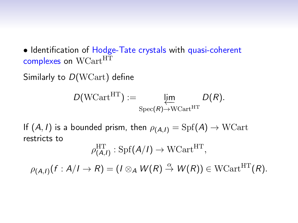• Identification of Hodge-Tate crystals with quasi-coherent complexes on WCart<sup>HT</sup>

Similarly to D(WCart) define

$$
D(\text{WCart}^{\text{HT}}) := \underbrace{\lim_{\text{Spec}(R) \to \text{WCart}^{\text{HT}}}} D(R).
$$

If  $(A, I)$  is a bounded prism, then  $\rho_{(A, I)} = Spf(A) \rightarrow WCart$ restricts to

$$
\rho^{\mathrm{HT}}_{(A,I)}:\mathrm{Spf}(A/I)\to \mathrm{WCart}^{\mathrm{HT}},
$$

 $\rho_{(\mathcal{A},I)}(f:\mathcal{A}/I\to R)=(I\otimes_{\mathcal{A}}\mathcal{W}(R)\stackrel{\alpha}{\to}\mathcal{W}(R))\in \text{WCart}^{\text{HT}}(R).$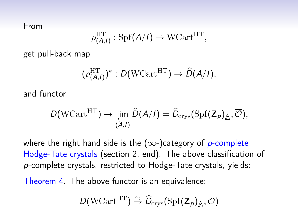From

$$
\rho^{\mathrm{HT}}_{(A,I)}:\mathrm{Spf}(A/I)\rightarrow \mathrm{WCart}^{\mathrm{HT}},
$$

get pull-back map

$$
(\rho_{(A,I)}^{\mathrm{HT}})^* : D(\mathrm{WCart}^{\mathrm{HT}}) \to \widehat{D}(A/I),
$$

and functor

$$
D(\text{WCart}^{\text{HT}}) \to \varprojlim_{(A,I)} \widehat{D}(A/I) = \widehat{D}_{\text{crys}}(\text{Spf}(\mathbf{Z}_p)_{\underline{\mathbb{A}}}, \overline{\mathcal{O}}),
$$

where the right hand side is the  $(\infty-)$ category of p-complete Hodge-Tate crystals (section 2, end). The above classification of p-complete crystals, restricted to Hodge-Tate crystals, yields:

Theorem 4. The above functor is an equivalence:

$$
D(\mathrm{WCart}^\mathrm{HT}) \stackrel{\sim}{\to} \widehat{D}_\mathrm{crys}(\mathrm{Spf}(\mathbf{Z}_p)_{\not\triangle}, \overline{\mathcal{O}})
$$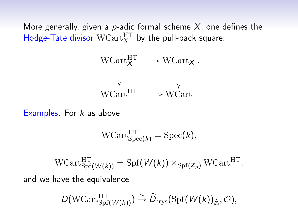More generally, given a p-adic formal scheme  $X$ , one defines the Hodge-Tate divisor  $WCart_X^{\mathrm{HT}}$  by the pull-back square:



Examples. For  $k$  as above,

$$
\mathrm{WCart}_{\mathrm{Spec}(k)}^{\mathrm{HT}} = \mathrm{Spec}(k),
$$

 $\text{WCart}_{\text{Spf}(\mathcal{W}(k))}^{\text{HT}} = \text{Spf}(\mathcal{W}(k)) \times_{\text{Spf}(\mathbf{Z}_p)} \text{WCart}^{\text{HT}}.$ and we have the equivalence

$$
D(\mathrm{WCart}_{\mathrm{Spf} }^{\mathrm{HT}}(\overline{W(\overline{k})}) ) \overset{\sim}{\to} \widehat{D}_{\mathrm{crys}}(\mathrm{Spf}(\overline{W(\overline{k})})_{\underline{\mathbb{A}}}, \overline{\mathcal{O}}),
$$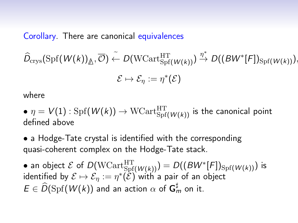Corollary. There are canonical equivalences

 $\widehat{D}_{\mathrm{crys}}(\mathrm{Spf}(W(k))_{\triangle}, \overline{\mathcal{O}}) \stackrel{\sim}{\leftarrow} D(\mathrm{WCart}_{\mathrm{Spf}(W(k))}^{\mathrm{HT}}) \stackrel{\eta^*}{\rightarrow} D((BW^*[F])_{\mathrm{Spf}(W(k))}),$ 

$$
\mathcal{E}\mapsto \mathcal{E}_\eta:=\eta^*(\mathcal{E})
$$

where

 $\bullet$   $\eta=V(1)$  :  $\mathrm{Spf}(W(k))\rightarrow\mathrm{WCart}_{\mathrm{Spf}(W(k))}^{\mathrm{HT}}$  is the canonical point defined above

• a Hodge-Tate crystal is identified with the corresponding quasi-coherent complex on the Hodge-Tate stack.

 $\bullet$  an object  $\mathcal E$  of  $D(\mathrm{WCart}_{\mathrm{Spf}(W(k))}^{\mathrm{HT}}) = D((B W^{*}[F])_{\mathrm{Spf}(W(k))})$  is identified by  $\mathcal{E}\mapsto \mathcal{E}_\eta:=\eta^*(\tilde{\mathcal{E}})$  with a pair of an object  $E \in \widehat{D}(\mathrm{Spf}({W}(k))$  and an action  $\alpha$  of  $\mathsf{G}_{m}^{\sharp}$  on it.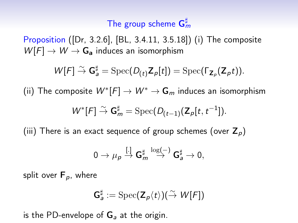# The group scheme  $\mathsf{G}^\sharp_m$

Proposition ([Dr, 3.2.6], [BL, 3.4.11, 3.5.18]) (i) The composite  $W[F] \rightarrow W \rightarrow G_a$  induces an isomorphism

$$
W[F] \overset{\sim}{\rightarrow} \mathbf{G}_a^{\sharp} = \text{Spec}(D_{(t)}\mathbf{Z}_p[t]) = \text{Spec}(\Gamma_{\mathbf{Z}_p}(\mathbf{Z}_p t)).
$$

(ii) The composite  $W^{*}[F]\rightarrow W^{*}\rightarrow {\bf G}_{m}$  induces an isomorphism

$$
W^*[F] \overset{\sim}{\to} \mathsf{G}_m^{\sharp} = \mathrm{Spec}(D_{(t-1)}(\mathsf{Z}_p[t, t^{-1}]).
$$

(iii) There is an exact sequence of group schemes (over  $Z_p$ )

$$
0\to \mu_p\overset{[.]}\to \mathbf{G}_m^\sharp\overset{\log(-)}\to \mathbf{G}_a^\sharp\to 0,
$$

split over  $F_p$ , where

$$
\mathsf{G}^\sharp_a := \mathrm{Spec}(\mathsf{Z}_p\langle t\rangle)(\stackrel{\sim}{\to} \mathcal{W}[F])
$$

is the PD-envelope of  $G_a$  at the origin.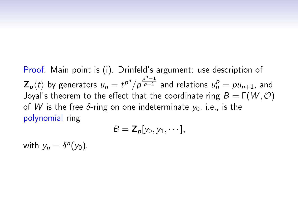Proof. Main point is (i). Drinfeld's argument: use description of  $\mathbf{Z}_p\langle t \rangle$  by generators  $u_n = t^{p^n}/p^{\frac{p^n-1}{p-1}}$  and relations  $u_n^p = pu_{n+1}$ , and Joyal's theorem to the effect that the coordinate ring  $B = \Gamma(W, \mathcal{O})$ of W is the free  $\delta$ -ring on one indeterminate  $y_0$ , i.e., is the polynomial ring

$$
B=\mathbf{Z}_p[y_0,y_1,\cdots],
$$

with  $y_n = \delta^n(y_0)$ .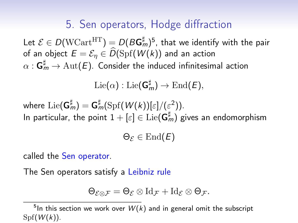## 5. Sen operators, Hodge diffraction

Let  $\mathcal{E}\in D(\mathrm{WCart}^\mathrm{HT})=D(B\mathsf{G}_m^\sharp)^5$ , that we identify with the pair of an object  $E = \mathcal{E}_n \in \tilde{D}(\text{Spf}(W(k)))$  and an action  $\alpha: \mathsf{G}_m^\sharp \to \mathrm{Aut} (E).$  Consider the induced infinitesimal action

$$
\mathrm{Lie}(\alpha) : \mathrm{Lie}(\mathsf{G}_m^\sharp) \to \mathrm{End}(E),
$$

where  $\mathrm{Lie}(\mathsf{G}_m^\sharp)=\mathsf{G}_m^\sharp(\mathrm{Spf}({W}(k))[\varepsilon]/(\varepsilon^2)).$ In particular, the point  $1+[\varepsilon]\in\mathrm{Lie}(\mathsf{G}_m^\sharp)$  gives an endomorphism

 $\Theta_{\mathcal{E}} \in \text{End}(E)$ 

called the Sen operator.

The Sen operators satisfy a Leibniz rule

$$
\Theta_{\mathcal{E}\otimes\mathcal{F}}=\Theta_{\mathcal{E}}\otimes\mathrm{Id}_{\mathcal{F}}+\mathrm{Id}_{\mathcal{E}}\otimes\Theta_{\mathcal{F}}.
$$

<sup>&</sup>lt;sup>5</sup>In this section we work over  $W(k)$  and in general omit the subscript  $Spf(W(k))$ .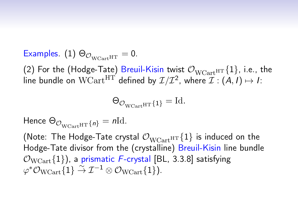Examples. (1)  $\Theta_{\mathcal{O}_{W\text{Cart}}\text{HT}} = 0$ .

(2) For the (Hodge-Tate) Breuil-Kisin twist  $\mathcal{O}_{WCart}$ HT {1}, i.e., the line bundle on  $\text{WCart}^{\text{HT}}$  defined by  $\mathcal{I}/\mathcal{I}^2$ , where  $\mathcal{I}:(\mathcal{A},I)\mapsto I$ :

$$
\Theta_{\mathcal{O}_{\text{WCart}}H\text{T}}\{\mathbf{1}\}=\text{Id}.
$$

Hence  $\Theta_{\mathcal{O}_{W\text{Cartiff}}\{n\}} = n\text{Id}.$ 

(Note: The Hodge-Tate crystal  $\mathcal{O}_{WCart}$ HT $\{1\}$  is induced on the Hodge-Tate divisor from the (crystalline) Breuil-Kisin line bundle  $\mathcal{O}_{\text{WCart}}\{1\}$ , a prismatic F-crystal [BL, 3.3.8] satisfying  $\varphi^*{\mathcal O}_{\rm WCart}\{1\} \stackrel{\sim}{\to} {\mathcal I}^{-1}\otimes{\mathcal O}_{\rm WCart}\{1\}).$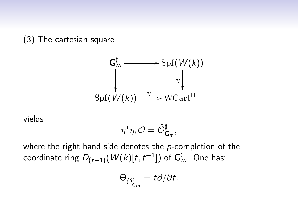(3) The cartesian square



yields

$$
\eta^*\eta_*\mathcal{O}=\widehat{\mathcal{O}}_{\mathsf{G}_m}^\sharp,
$$

where the right hand side denotes the  $p$ -completion of the coordinate ring  $D_{(t-1)}(W(k)[t,t^{-1}])$  of  ${\sf G}_{m}^{\sharp}$ . One has:

$$
\Theta_{\widehat{\mathcal{O}}_{\mathsf{G}_m}^\sharp} = t\partial/\partial t.
$$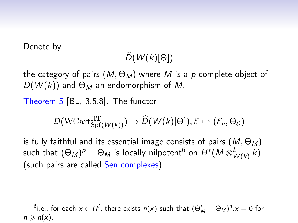Denote by

# $\widehat{D}(W(k)[\Theta])$

the category of pairs  $(M, \Theta_M)$  where M is a p-complete object of  $D(W(k))$  and  $\Theta_M$  an endomorphism of M.

Theorem 5 [BL, 3.5.8]. The functor

$$
D(\mathrm{WCart}_{\mathrm{Spf}(\mathit{W}(k))}^{\mathrm{HT}}) \rightarrow \widehat{D}(\mathit{W}(k)[\Theta]), \mathcal{E} \mapsto (\mathcal{E}_{\eta}, \Theta_{\mathcal{E}})
$$

is fully faithful and its essential image consists of pairs  $(M, \Theta_M)$ such that  $(\Theta_{M})^p-\Theta_{M}$  is locally nilpotent $^6$  on  $H^*(M\otimes^L_{W(k)}k)$ (such pairs are called Sen complexes).

 $^6$ i.e., for each  $x \in H^i$ , there exists  $n(x)$  such that  $(\Theta^p_M - \Theta_M)^n . x = 0$  for  $n \geqslant n(x)$ .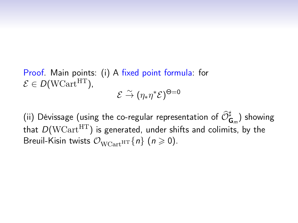Proof. Main points: (i) A fixed point formula: for  $\mathcal{E} \in D(WCart^{HT})$ ,  $\mathcal{E} \overset{\sim}{\rightarrow} (\eta_* \eta^* \mathcal{E})^{\Theta=0}$ 

(ii) Dévissage (using the co-regular representation of  $\widehat{\mathcal{O}}_{\mathsf{G}_m}^{\sharp}$ ) showing that  $D(WCart<sup>HT</sup>)$  is generated, under shifts and colimits, by the Breuil-Kisin twists  $\mathcal{O}_{WCart}$ <sub>HT</sub> $\{n\}$   $(n \ge 0)$ .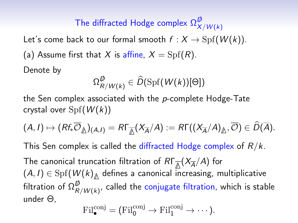#### The diffracted Hodge complex  $\Omega_X^{\not\!\!D}$  $X/W(k)$

Let's come back to our formal smooth  $f : X \to \mathrm{Spf}(W(k))$ . (a) Assume first that X is affine,  $X = Spf(R)$ . Denote by

$$
\Omega_{R/W(k)}^{\not\!D} \in \widehat{D}(\mathrm{Spf}(W(k))[\Theta])
$$

the Sen complex associated with the p-complete Hodge-Tate crystal over  $Spf(W(k))$ 

$$
(A,I)\mapsto (Rf_*\overline{\mathcal{O}}_{\underline{\mathbb{A}}})(A,I)=R\Gamma_{\overline{\underline{\mathbb{A}}}}(X_{\overline{A}}/A):=R\Gamma((X_{\overline{A}}/A)_{\underline{\mathbb{A}}},\overline{\mathcal{O}})\in \widehat{D}(\overline{A}).
$$

This Sen complex is called the diffracted Hodge complex of  $R/k$ .

The canonical truncation filtration of RΓ<sub>Δ</sub>(X<sub>A</sub>/A) for  $(A,I)\in \mathrm{Spf}(\pmb{W}(\pmb{k})\sp{\Delta}$  defines a canonical increasing, multiplicative filtration of  $\Omega_R^{\not\!\!D}$  $_{R/W(k)}^{\psi}$ , called the conjugate filtration, which is stable under Θ,

$$
\mathrm{Fil}^{\mathrm{conj}}_{\bullet}=(\mathrm{Fil}^{\mathrm{conj}}_{0}\to\mathrm{Fil}^{\mathrm{conj}}_{1}\to\cdots).
$$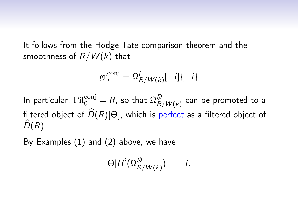It follows from the Hodge-Tate comparison theorem and the smoothness of  $R/W(k)$  that

$$
\operatorname{gr}_i^{\operatorname{conj}} = \Omega^i_{R/W(k)}[-i]\{-i\}
$$

In particular,  $\mathrm{Fil}^{\mathrm{conj}}_0=R$ , so that  $\Omega_R^{\not\!\!D}$  $_{R/W(k)}^{\rm \nu}$  can be promoted to a filtered object of  $\widehat{D}(R)[\Theta]$ , which is perfect as a filtered object of  $\widehat{D}(R)$ .

By Examples (1) and (2) above, we have

$$
\Theta|H^i(\Omega_{R/W(k)}^{\emptyset})=-i.
$$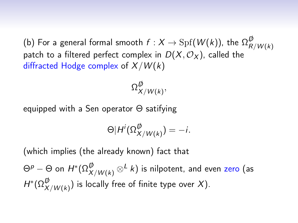(b) For a general formal smooth  $f:X\to \mathrm{Spf}(W(k)),$  the  $\Omega_R^\not B$  $R/W(k)$ patch to a filtered perfect complex in  $D(X, \mathcal{O}_X)$ , called the diffracted Hodge complex of  $X/W(k)$ 

> $\Omega_\mathsf{x}^\not\!\!D}$  $_{X/W(k)}^{\omega},$

equipped with a Sen operator Θ satifying

$$
\Theta|H^i(\Omega_{X/W(k)}^{\not\!D})=-i.
$$

(which implies (the already known) fact that

 $\Theta^p-\Theta$  on  $H^*(\Omega_{X/W(k)}^{\not \! \! D}\otimes^L k)$  is nilpotent, and even zero (as  $H^*(\Omega_{X/W(k)}^{\not\!D})$  is locally free of finite type over  $X)$ .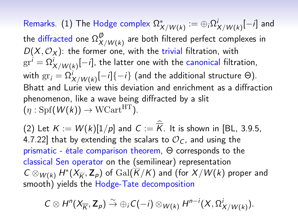${\sf Remarks.} \,\,\text{(1)}$  The Hodge complex  $\Omega^*_{X/W(k)} \coloneqq \oplus_i \Omega^i_{X/W(k)}[-i]$  and the diffracted one  $\Omega_X^{\not\!\!D}$  $_{X/{W(k)}}^{\omega}$  are both filtered perfect complexes in  $D(X, \mathcal{O}_X)$ : the former one, with the trivial filtration, with  $\mathrm{gr}^i=\Omega^i_{X/W(k)}[-i],$  the latter one with the canonical filtration, with  $\mathrm{gr}_i = \Omega^i_{X/W(k)}[-i]\{-i\}$  (and the additional structure  $\Theta).$ Bhatt and Lurie view this deviation and enrichment as a diffraction phenomenon, like a wave being diffracted by a slit  $(n : Spf(W(k)) \to WCart^{HT})$ .

(2) Let  $K := W(k)[1/p]$  and  $C := K$ . It is shown in [BL, 3.9.5, 4.7.22] that by extending the scalars to  $\mathcal{O}_C$ , and using the prismatic - étale comparison theorem, Θ corresponds to the classical Sen operator on the (semilinear) representation  $C\otimes_{W(k)} H^*(X_{\overline{K}},\mathbf{Z}_p)$  of  $\mathrm{Gal}(\overline{K}/K)$  and (for  $X/W(k)$  proper and smooth) yields the Hodge-Tate decomposition

$$
C\otimes H^{n}(X_{\overline{K}},\mathbf{Z}_{p})\stackrel{\sim}{\to} \oplus_{i}C(-i)\otimes_{W(k)}H^{n-i}(X,\Omega^{i}_{X/W(k)}).
$$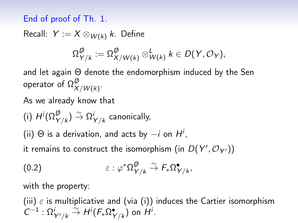#### End of proof of Th. 1.

Recall:  $Y := X \otimes_{W(k)} k$ . Define

$$
\Omega_{Y/k}^{\not\!D} := \Omega_{X/W(k)}^{\not\!D} \otimes_{W(k)}^L k \in D(Y, \mathcal{O}_Y),
$$

and let again Θ denote the endomorphism induced by the Sen operator of  $\Omega_X^{\not\!\!D}$  $_{X/W(k)}^{\omega}$ .

As we already know that

(i) 
$$
H^i(\Omega_{Y/k}^{\not\!D}) \stackrel{\sim}{\rightarrow} \Omega_{Y/k}^i
$$
 canonically,

(ii)  $\Theta$  is a derivation, and acts by  $-i$  on  $H^i$ ,

it remains to construct the isomorphism (in  $D(Y', \mathcal{O}_{Y'}))$ 

$$
(0.2) \qquad \qquad \varepsilon : \varphi^* \Omega_{Y/k}^{\not\!D} \stackrel{\sim}{\to} F_* \Omega_{Y/k}^{\bullet},
$$

with the property:

(iii)  $\varepsilon$  is multiplicative and (via (i)) induces the Cartier isomorphism  $C^{-1} : \Omega^i_{Y'/k} \overset{\sim}{\rightarrow} H^i(F_*\Omega^{\bullet}_{Y/k})$  on  $\overset{\sim}{H^i}$ .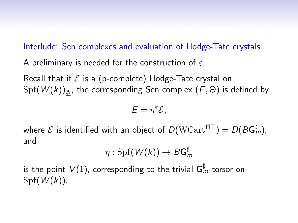#### Interlude: Sen complexes and evaluation of Hodge-Tate crystals

A preliminary is needed for the construction of  $\varepsilon$ .

Recall that if  $\mathcal E$  is a (p-complete) Hodge-Tate crystal on  $\mathrm{Spf}(\mathcal{W}(k))_{\bigtriangleup}$ , the corresponding Sen complex  $(E,\Theta)$  is defined by

$$
E=\eta^*\mathcal{E},
$$

where  ${\cal E}$  is identified with an object of  $D({\rm WCart}^{\rm HT})=D({\cal B} {\sf G}^\sharp_m),$ and

$$
\eta: \operatorname{Spf} (W(k)) \to B\mathsf{G}_m^\sharp
$$

is the point  $\mathit{V}(1)$ , corresponding to the trivial  $\bm{\mathsf{G}}_m^\sharp$ -torsor on  $Spf(W(k))$ .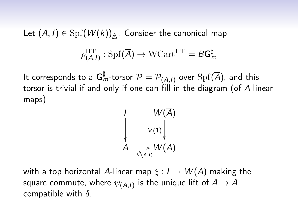Let  $(A, I) \in \mathrm{Spf}(W(k))_{\triangle}$ . Consider the canonical map

$$
\rho^{\mathrm{HT}}_{(A,I)}:\mathrm{Spf}(\overline{A})\rightarrow \mathrm{WCart}^{\mathrm{HT}}=B\mathsf{G}^\sharp_m
$$

It corresponds to a  ${\sf G}_{m}^\sharp$ -torsor  ${\cal P} = {\cal P}_{(A,I)}$  over  ${\rm Spf}(\overline{A}),$  and this torsor is trivial if and only if one can fill in the diagram (of A-linear maps)

$$
\begin{pmatrix}\n & W(\overline{A}) \\
& v_{(1)}\n\end{pmatrix}
$$
\n
$$
A \longrightarrow_{\psi(A, I)} W(\overline{A})
$$

with a top horizontal A-linear map  $\xi : I \to W(\overline{A})$  making the square commute, where  $\psi_{(\mathcal{A},I)}$  is the unique lift of  $\mathcal{A}\rightarrow\mathcal{A}$ compatible with  $\delta$ .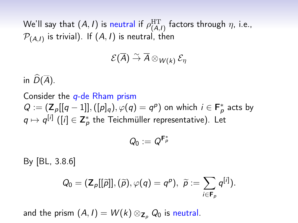We'll say that  $(A,I)$  is neutral if  $\rho^{\rm HT}_{(A,I)}$  factors through  $\eta$ , i.e.,  $\mathcal{P}_{(\mathcal{A}, I)}$  is trivial). If  $(\mathcal{A}, I)$  is neutral, then

$$
\mathcal{E}(\overline{A}) \stackrel{\sim}{\rightarrow} \overline{A} \otimes_{W(k)} \mathcal{E}_{\eta}
$$

in  $\widehat{D}(\overline{A})$ .

Consider the  $q$ -de Rham prism  $Q := (\mathsf{Z}_p[[q-1]], ([p]_q), \varphi(q) = q^p)$  on which  $i \in \mathsf{F}_p^*$  acts by  $q\mapsto q^{[i]}$  ([ $i$ ]  $\in \mathsf{Z}_p^*$  the Teichmüller representative). Let

$$
Q_0:=Q^{\pmb{F}^*_p}
$$

By [BL, 3.8.6]

$$
Q_0=(\mathsf{Z}_p[[\widetilde{\rho}]],(\widetilde{\rho}),\varphi(q)=q^p),\ \widetilde{\rho}:=\sum_{i\in\mathsf{F}_p}q^{[i]}).
$$

and the prism  $(A, I) = W(k) \otimes_{\mathbb{Z}_p} Q_0$  is neutral.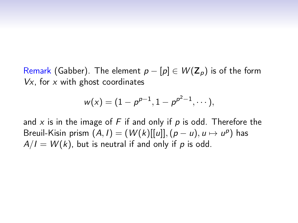Remark (Gabber). The element  $p - [p] \in W(\mathbb{Z}_p)$  is of the form  $Vx$ , for  $x$  with ghost coordinates

$$
w(x)=(1-p^{p-1},1-p^{p^2-1},\cdots),
$$

and  $x$  is in the image of  $F$  if and only if  $p$  is odd. Therefore the Breuil-Kisin prism  $(A, I) = (W(k)[[u]], (p - u), u \mapsto u^p)$  has  $A/I = W(k)$ , but is neutral if and only if p is odd.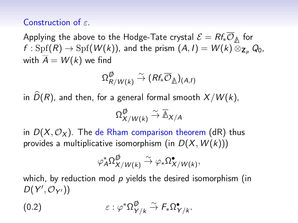#### Construction of  $\varepsilon$ .

Applying the above to the Hodge-Tate crystal  $\mathcal{E} = Rf_*\mathcal{O}_{\mathbb{A}}$  for  $f : \text{Spf}(R) \to \text{Spf}(W(k))$ , and the prism  $(A, I) = W(k) \overline{\otimes}_{\mathbb{Z}_p} Q_0$ , with  $\overline{A} = W(k)$  we find

$$
\Omega_{R/W(k)}^{\raisebox{-1pt}{$\not$}}\stackrel{\sim}{\to} (\mathit{Rf}_*\overline{\mathcal{O}}_{\raisebox{-1pt}{$\not$}})_{(A,l)}
$$

in  $\widehat{D}(R)$ , and then, for a general formal smooth  $X/W (k)$ ,

$$
\Omega_{X/W(k)}^{\not\!\!D} \stackrel{\sim}{\to} \overline{\mathbb{A}}_{X/A}
$$

in  $D(X, \mathcal{O}_X)$ . The de Rham comparison theorem (dR) thus provides a multiplicative isomorphism (in  $D(X, W(k)))$ 

$$
\varphi_A^*\Omega_{X/W(k)}^{\raisebox{-1pt}{$\not$}}\stackrel{\sim}{\to} \varphi_*\Omega_{X/W(k)}^\bullet,
$$

which, by reduction mod  $p$  yields the desired isomorphism (in  $D(Y', \mathcal{O}_{Y'}))$ 

$$
(0.2) \qquad \qquad \varepsilon : \varphi^* \Omega^{\not\!D}_{Y/k} \overset{\sim}{\to} F_* \Omega^{\bullet}_{Y/k}.
$$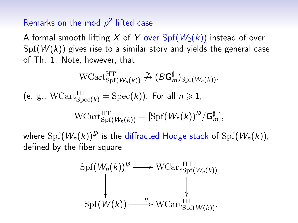#### Remarks on the mod  $p^2$  lifted case

A formal smooth lifting X of Y over  $Spf(W_2(k))$  instead of over  $Spf(W(k))$  gives rise to a similar story and yields the general case of Th. 1. Note, however, that

$$
\text{WCart}_{\text{Spf}(W_n(k))}^{\text{HT}} \nrightarrow (\mathcal{B}G_m^{\sharp})_{\text{Spf}(W_n(k))}.
$$
\n
$$
\text{(e. g., WCart}_{\text{Spec}(k))}^{\text{HT}} = \text{Spec}(k)). \text{ For all } n \ge 1,
$$
\n
$$
\text{WCart}_{\text{Spf}(W_n(k))}^{\text{HT}} = [\text{Spf}(W_n(k))^{\phi}/G_m^{\sharp}],
$$
\n
$$
\text{where } \text{Spf}(W_n(k))^{\phi} \text{ is the diffracted Hodge stack of } \text{Spf}(W_n(k)),
$$

defined by the fiber square

$$
\operatorname{Spf}(\mathcal{W}_n(k))^{\emptyset} \longrightarrow \operatorname{WCart}_{\operatorname{Spf}(\mathcal{W}_n(k))}^{\operatorname{HT}} \\ \downarrow \qquad \qquad \downarrow
$$
  

$$
\operatorname{Spf}(\mathcal{W}(k)) \xrightarrow{\eta} \operatorname{WCart}_{\operatorname{Spf}(\mathcal{W}(k))}^{\operatorname{HT}}.
$$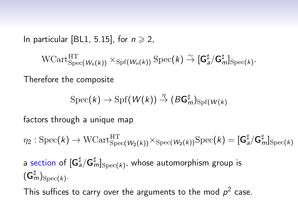In particular [BL1, 5.15], for  $n \geqslant 2$ ,

 $\text{WCart}_{\text{Spec}(W_n(k))}^{\text{HT}} \times_{\text{Spf}(W_n(k))} \text{Spec}(k) \overset{\sim}{\rightarrow} [\mathsf{G}_{a}^{\sharp}/\mathsf{G}_{m}^{\sharp}]_{\text{Spec}(k)}.$ 

Therefore the composite

$$
\operatorname{Spec}(k) \to \operatorname{Spf}(\mathcal{W}(k)) \stackrel{\eta}{\to} (B\mathsf{G}^\sharp_m)_{\operatorname{Spf}(\mathcal{W}(k)}
$$

factors through a unique map

 $\eta_2:\mathrm{Spec}(k)\to \mathrm{WCart}_{\mathrm{Spec}(W_2(k))}^{\mathrm{HT}} \times_{\mathrm{Spec}(W_2(k))} \mathrm{Spec}(k) = [\mathsf{G}_\mathsf{a}^\sharp/\mathsf{G}_m^\sharp]_{\mathrm{Spec}(k)}$ 

a section of  $[\mathsf{G}_{a}^\sharp/\mathsf{G}_{m}^\sharp]_{\mathrm{Spec}(k)}$ , whose automorphism group is  $(\mathsf{G}^\sharp_m)_{\operatorname{Spec}(k)}.$ 

This suffices to carry over the arguments to the mod  $p^2$  case.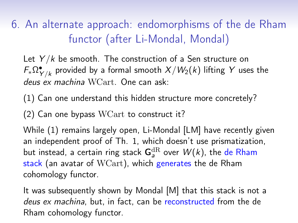6. An alternate approach: endomorphisms of the de Rham functor (after Li-Mondal, Mondal)

Let  $Y/k$  be smooth. The construction of a Sen structure on  $\mathit{\mathsf{F}_{*}\Omega^{\bullet}_{Y/k}}$  provided by a formal smooth  $X/W_2(k)$  lifting  $Y$  uses the deus ex machina WCart. One can ask:

(1) Can one understand this hidden structure more concretely?

(2) Can one bypass WCart to construct it?

While (1) remains largely open, Li-Mondal [LM] have recently given an independent proof of Th. 1, which doesn't use prismatization, but instead, a certain ring stack  ${\sf G}_{a}^{\mathrm{dR}}$  over  $W(k)$ , the de Rham stack (an avatar of WCart), which generates the de Rham cohomology functor.

It was subsequently shown by Mondal [M] that this stack is not a deus ex machina, but, in fact, can be reconstructed from the de Rham cohomology functor.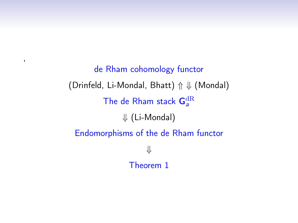de Rham cohomology functor (Drinfeld, Li-Mondal, Bhatt) ⇑ ⇓ (Mondal) The de Rham stack  $\mathsf{G}^\mathrm{dR}_\mathsf{a}$ ⇓ (Li-Mondal) Endomorphisms of the de Rham functor ⇓ Theorem 1

,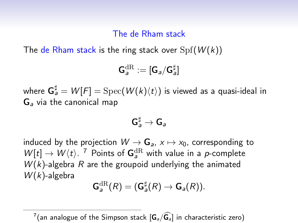#### The de Rham stack

The de Rham stack is the ring stack over  $Spf(W(k))$ 

$$
\mathbf{G}^{\mathrm{dR}}_a:=[\mathbf{G}_a/\mathbf{G}_a^\sharp]
$$

where  ${\sf G}_a^\sharp = W[F] = {\rm Spec}(W(k)\langle t\rangle)$  is viewed as a quasi-ideal in G<sup>a</sup> via the canonical map

$$
\mathsf{G}_a^\sharp\to \mathsf{G}_a
$$

induced by the projection  $W \to \mathbf{G}_a$ ,  $x \mapsto x_0$ , corresponding to  $W[t] \rightarrow W(t)$ . <sup>7</sup> Points of  $G_a^{dR}$  with value in a *p*-complete  $W(k)$ -algebra R are the groupoid underlying the animated  $W(k)$ -algebra

$$
\mathsf{G}_a^{\mathrm{dR}}(R) = (\mathsf{G}_a^{\sharp}(R) \to \mathsf{G}_a(R)).
$$

 $^{7}$ (an analogue of the Simpson stack  $[\mathsf{G}_{\scriptscriptstyle{a}}/\widehat{\mathsf{G}_{\scriptscriptstyle{a}}} ]$  in characteristic zero)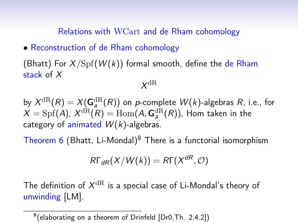Relations with WCart and de Rham cohomology

• Reconstruction of de Rham cohomology

(Bhatt) For  $X/\mathrm{Spf}(W(k))$  formal smooth, define the de Rham stack of X

### $X^{\mathrm{dR}}$

by  $X^{\mathrm{dR}}(R)=X({\mathbf{G}}_{\mathsf{a}}^{\mathrm{dR}}(R))$  on  $p$ -complete  $W(k)$ -algebras  $R$ , i.e., for  $X = \text{Spf}(A)$ ,  $X^{\text{dR}}(R) = \text{Hom}(A, \mathsf{G}^{\text{dR}}_a(R))$ , Hom taken in the category of animated  $W(k)$ -algebras.

Theorem 6 (Bhatt, Li-Mondal) $8$  There is a functorial isomorphism

$$
R\Gamma_{dR}(X/W(k)) = R\Gamma(X^{dR}, \mathcal{O})
$$

The definition of  $X^{\mathrm{dR}}$  is a special case of Li-Mondal's theory of unwinding [LM].

 $^8$ (elaborating on a theorem of Drinfeld [Dr0,Th. 2.4.2])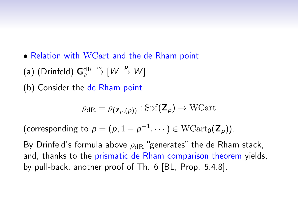- Relation with WCart and the de Rham point
- (a) (Drinfeld)  ${\mathsf G}_a^{\mathrm{dR}} \overset{\sim}{\to} [{\mathsf {\mathsf W}} \overset{p}{\to} {\mathsf {\mathsf W}}]$
- (b) Consider the de Rham point

$$
\rho_{\mathrm{dR}} = \rho(\mathbf{z}_{p,(\boldsymbol{p})}) : \mathrm{Spf}(\mathbf{Z}_{\boldsymbol{p}}) \to \mathrm{WCart}
$$

(corresponding to  $p = (p, 1 - p^{-1}, \dots) \in \mathrm{WCart}_0(\mathsf{Z}_p)).$ 

By Drinfeld's formula above  $\rho_{\rm dR}$  "generates" the de Rham stack, and, thanks to the prismatic de Rham comparison theorem yields, by pull-back, another proof of Th. 6 [BL, Prop. 5.4.8].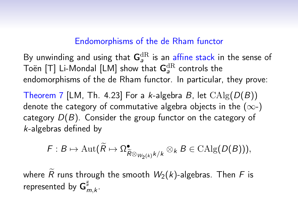#### Endomorphisms of the de Rham functor

By unwinding and using that  $\mathsf{G}_{a}^\mathrm{dR}$  is an affine stack in the sense of Toën [T] Li-Mondal [LM] show that  ${\sf G}^{\mathrm{dR}}_{{\boldsymbol{a}}}$  controls the endomorphisms of the de Rham functor. In particular, they prove:

Theorem 7 [LM, Th. 4.23] For a k-algebra B, let  $\text{CAlg}(D(B))$ denote the category of commutative algebra objects in the  $(\infty)$ category  $D(B)$ . Consider the group functor on the category of k-algebras defined by

$$
\mathsf{F}: \mathsf{B} \mapsto \mathrm{Aut}(\widetilde{\mathsf{R}} \mapsto \Omega^{\bullet}_{\widetilde{\mathsf{R}} \otimes_{W_2(k)} k/k} \otimes_k \mathsf{B} \in \mathrm{CAlg}(\mathsf{D}(\mathsf{B}))),
$$

where  $\tilde{R}$  runs through the smooth  $W_2(k)$ -algebras. Then F is represented by  $\mathsf{G}^\sharp_r$ m,k .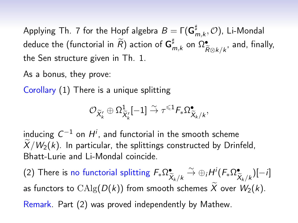Applying Th. 7 for the Hopf algebra  $B=\mathsf{\Gamma}(\mathsf{G}^\sharp_r)$  $_{m,k}^{\mu},\mathcal{O}),$  Li-Mondal deduce the (functorial in  $\widetilde{R} )$  action of  $\mathsf{G}^\sharp_r$  $_{m,k}^{\sharp}$  on  $\Omega_{\widehat{F}}^{\bullet}$  $\tilde{R}$ ⊗ $k/k$ , and, finally, the Sen structure given in Th. 1.

As a bonus, they prove:

Corollary (1) There is a unique splitting

$$
\mathcal{O}_{\widetilde{X}'_k} \oplus \Omega^1_{\widetilde{X}'_k}[-1] \stackrel{\sim}{\to} \tau^{\leqslant 1} \digamma_* \Omega^\bullet_{\widetilde{X}_k/k},
$$

inducing  $\mathcal{C}^{-1}$  on  $H^i$ , and functorial in the smooth scheme  $\widetilde{X}/W_2(k)$ . In particular, the splittings constructed by Drinfeld, Bhatt-Lurie and Li-Mondal coincide.

(2) There is no functorial splitting  $F_*\Omega^{\bullet}_{\mathfrak{S}}$  $\widetilde{\widetilde{X}}_k/k \overset{\sim}{\rightarrow} \oplus_i H^i(F_*\Omega^{\bullet}_{\widehat{\lambda}})$  $X_k/k$ )[−i] as functors to  $\mathrm{CAlg}(D(k))$  from smooth schemes  $\widetilde{X}$  over  $W_2(k)$ . Remark. Part (2) was proved independently by Mathew.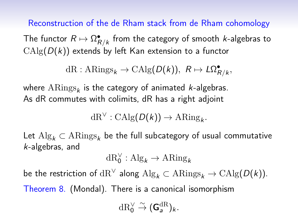Reconstruction of the de Rham stack from de Rham cohomology

The functor  $R \mapsto \Omega^{\bullet}_{R/k}$  from the category of smooth  $k$ -algebras to  $CAlg(D(k))$  extends by left Kan extension to a functor

 $dR : ARings_k \to CAlg(D(k)), R \mapsto L\Omega_{R/k}^{\bullet}$ 

where  $\mathrm{ARings}_{\pmb{k}}$  is the category of animated *k*-algebras. As dR commutes with colimits, dR has a right adjoint

 $dR^{\vee}: \mathrm{CAlg}(D(k)) \to \mathrm{ARing}_k.$ 

Let  $\mathrm{Alg}_k \subset \mathrm{ARings}_k$  be the full subcategory of usual commutative k-algebras, and

$$
\mathrm{dR}_0^\vee:\mathrm{Alg}_k\to\mathrm{ARing}_k
$$

be the restriction of  $\text{dR}^{\vee}$  along  $\text{Alg}_k \subset \text{ARings}_k \to \text{CAlg}(D(k)).$ 

Theorem 8. (Mondal). There is a canonical isomorphism

 $\mathrm{dR}_0^\vee \overset{\sim}{\rightarrow} (\mathsf{G}_a^{\mathrm{dR}})_k.$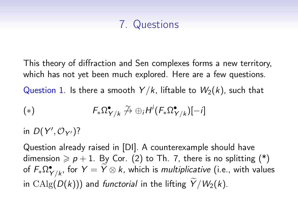# 7. Questions

This theory of diffraction and Sen complexes forms a new territory, which has not yet been much explored. Here are a few questions.

Question 1. Is there a smooth  $Y/k$ , liftable to  $W_2(k)$ , such that

$$
(*) \qquad F_*\Omega^{\bullet}_{Y/k} \stackrel{\gamma}{\rightarrow} \oplus_i H^i(F_*\Omega^{\bullet}_{Y/k})[-i]
$$

in  $D(Y', \mathcal{O}_{Y'})$ ?

Question already raised in [DI]. A counterexample should have dimension  $\geqslant p+1$ . By Cor. (2) to Th. 7, there is no splitting (\*) of  $F_*\Omega^{\bullet}_{Y/k}$ , for  $Y=\widetilde{Y}\otimes k$ , which is *multiplicative* (i.e., with values in CAlg( $D(k)$ )) and functorial in the lifting  $\widetilde{Y}/W_2(k)$ .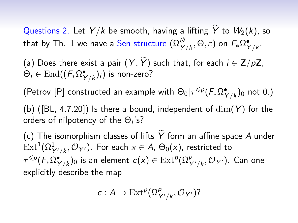Questions 2. Let  $Y/k$  be smooth, having a lifting  $\widetilde{Y}$  to  $W_2(k)$ , so that by Th. 1 we have a Sen structure  $(\Omega_{Y/k}^{\not\!{D}},\Theta,\varepsilon)$  on  $\mathit{F}_*\Omega_{Y/k}^{\bullet}.$ 

(a) Does there exist a pair  $(Y, \tilde{Y})$  such that, for each  $i \in \mathbb{Z}/p\mathbb{Z}$ ,  $\Theta_i \in \mathrm{End}((F_*\Omega^{\bullet}_{Y/k})_i)$  is non-zero?

(Petrov [P] constructed an example with  $\Theta_0|\tau^{\leqslant p}(F_*\Omega^{\bullet}_{Y/k})_0$  not 0.)

(b) ([BL, 4.7.20]) Is there a bound, independent of  $\dim(Y)$  for the orders of nilpotency of the  $\Theta_i$ 's?

(c) The isomorphism classes of lifts  $\widetilde{Y}$  form an affine space A under  $\mathrm{Ext}^1(\Omega^1_{Y'/k},\mathcal{O}_{Y'})$ . For each  $x\in A$ ,  $\Theta_0(x)$ , restricted to  $\tau^{\leqslant p}(\digamma_*\Omega^{\bullet}_{Y/k})_0$  is an element  $c(x)\in \mathrm{Ext}^p(\Omega^p_{Y'/k},\mathcal{O}_{Y'}).$  Can one explicitly describe the map

$$
c: A \to \operatorname{Ext}^p(\Omega^p_{Y'/k}, \mathcal{O}_{Y'})?
$$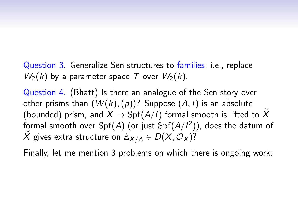Question 3. Generalize Sen structures to families, i.e., replace  $W_2(k)$  by a parameter space T over  $W_2(k)$ .

Question 4. (Bhatt) Is there an analogue of the Sen story over other prisms than  $(W(k), (p))$ ? Suppose  $(A, I)$  is an absolute (bounded) prism, and  $X \to \mathrm{Spf}(A/I)$  formal smooth is lifted to  $\widetilde{X}$ formal smooth over  $\mathrm{Spf}(\mathcal{A})$  (or just  $\mathrm{Spf}(\mathcal{A}/l^2))$ , does the datum of X gives extra structure on  $\overline{\mathbb{A}}_{X/A} \in D(X, \mathcal{O}_X)$ ?

Finally, let me mention 3 problems on which there is ongoing work: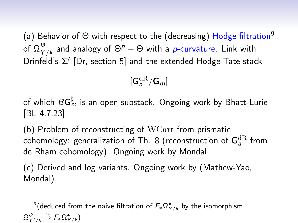(a) Behavior of  $\Theta$  with respect to the (decreasing) Hodge filtration<sup>9</sup> of  $\Omega_\mathsf{Y}^\not\!\!D}$  $_{Y/k}^{\not \! \! \! \nu}$  and analogy of  $\Theta^{\rho}-\Theta$  with a  $\rho$ -curvature. Link with Drinfeld's Σ' [Dr, section 5] and the extended Hodge-Tate stack

 $[\mathsf{G}_a^{\mathrm{dR}}/\mathsf{G}_m]$ 

of which  $B{\sf G}_m^\sharp$  is an open substack. Ongoing work by Bhatt-Lurie [BL 4.7.23].

(b) Problem of reconstructing of WCart from prismatic cohomology: generalization of Th. 8 (reconstruction of  ${\sf G}_{\sf a}^{\rm dR}$  from de Rham cohomology). Ongoing work by Mondal.

(c) Derived and log variants. Ongoing work by (Mathew-Yao, Mondal).

 $^9$ (deduced from the naive filtration of  $F_*\Omega^{\bullet}_{Y/k}$  by the isomorphism  $\Omega_{Y'/k}^{\not\!{\scriptscriptstyle\beta}} \stackrel{\sim}{\to} F_*\Omega_{Y/k}^\bullet)$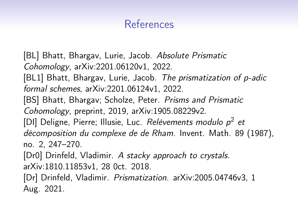# References

[BL] Bhatt, Bhargav, Lurie, Jacob. Absolute Prismatic Cohomology, arXiv:2201.06120v1, 2022. [BL1] Bhatt, Bhargav, Lurie, Jacob. The prismatization of p-adic formal schemes, arXiv:2201.06124v1, 2022. [BS] Bhatt, Bhargav; Scholze, Peter. Prisms and Prismatic Cohomology, preprint, 2019, arXiv:1905.08229v2. [DI] Deligne, Pierre; Illusie, Luc. Relèvements modulo p<sup>2</sup> et décomposition du complexe de de Rham. Invent. Math. 89 (1987), no. 2, 247–270. [Dr0] Drinfeld, Vladimir. A stacky approach to crystals. arXiv:1810.11853v1, 28 0ct. 2018. [Dr] Drinfeld, Vladimir. Prismatization. arXiv:2005.04746v3, 1 Aug. 2021.